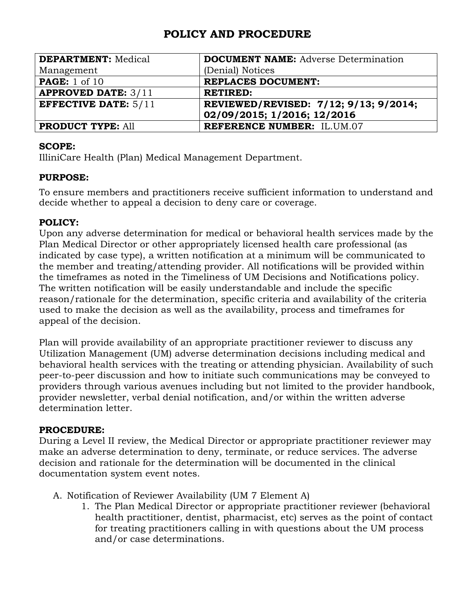| <b>DEPARTMENT: Medical</b>  | <b>DOCUMENT NAME:</b> Adverse Determination |
|-----------------------------|---------------------------------------------|
| Management                  | (Denial) Notices                            |
| <b>PAGE:</b> 1 of 10        | <b>REPLACES DOCUMENT:</b>                   |
| <b>APPROVED DATE: 3/11</b>  | <b>RETIRED:</b>                             |
| <b>EFFECTIVE DATE: 5/11</b> | REVIEWED/REVISED: 7/12; 9/13; 9/2014;       |
|                             | 02/09/2015; 1/2016; 12/2016                 |
| <b>PRODUCT TYPE: All</b>    | <b>REFERENCE NUMBER: IL.UM.07</b>           |

#### **SCOPE:**

IlliniCare Health (Plan) Medical Management Department.

## **PURPOSE:**

To ensure members and practitioners receive sufficient information to understand and decide whether to appeal a decision to deny care or coverage.

## **POLICY:**

Upon any adverse determination for medical or behavioral health services made by the Plan Medical Director or other appropriately licensed health care professional (as indicated by case type), a written notification at a minimum will be communicated to the member and treating/attending provider. All notifications will be provided within the timeframes as noted in the Timeliness of UM Decisions and Notifications policy. The written notification will be easily understandable and include the specific reason/rationale for the determination, specific criteria and availability of the criteria used to make the decision as well as the availability, process and timeframes for appeal of the decision.

Plan will provide availability of an appropriate practitioner reviewer to discuss any Utilization Management (UM) adverse determination decisions including medical and behavioral health services with the treating or attending physician. Availability of such peer-to-peer discussion and how to initiate such communications may be conveyed to providers through various avenues including but not limited to the provider handbook, provider newsletter, verbal denial notification, and/or within the written adverse determination letter.

## **PROCEDURE:**

During a Level II review, the Medical Director or appropriate practitioner reviewer may make an adverse determination to deny, terminate, or reduce services. The adverse decision and rationale for the determination will be documented in the clinical documentation system event notes.

- A. Notification of Reviewer Availability (UM 7 Element A)
	- 1. The Plan Medical Director or appropriate practitioner reviewer (behavioral health practitioner, dentist, pharmacist, etc) serves as the point of contact for treating practitioners calling in with questions about the UM process and/or case determinations.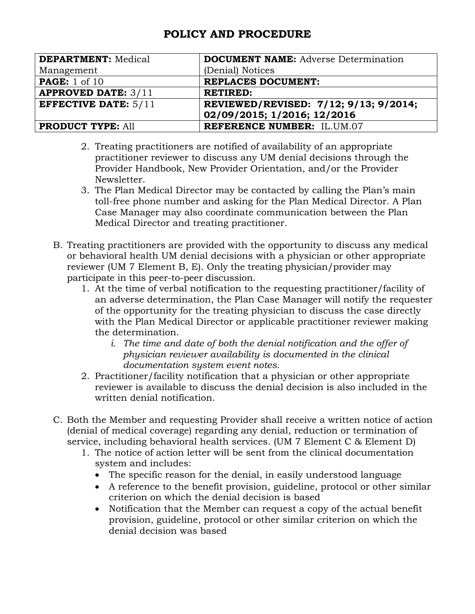| <b>DEPARTMENT: Medical</b>  | <b>DOCUMENT NAME:</b> Adverse Determination |
|-----------------------------|---------------------------------------------|
| Management                  | (Denial) Notices                            |
| <b>PAGE:</b> 1 of 10        | <b>REPLACES DOCUMENT:</b>                   |
| <b>APPROVED DATE: 3/11</b>  | <b>RETIRED:</b>                             |
| <b>EFFECTIVE DATE: 5/11</b> | REVIEWED/REVISED: 7/12; 9/13; 9/2014;       |
|                             | 02/09/2015; 1/2016; 12/2016                 |
| <b>PRODUCT TYPE: All</b>    | <b>REFERENCE NUMBER: IL.UM.07</b>           |

- 2. Treating practitioners are notified of availability of an appropriate practitioner reviewer to discuss any UM denial decisions through the Provider Handbook, New Provider Orientation, and/or the Provider Newsletter.
- 3. The Plan Medical Director may be contacted by calling the Plan's main toll-free phone number and asking for the Plan Medical Director. A Plan Case Manager may also coordinate communication between the Plan Medical Director and treating practitioner.
- B. Treating practitioners are provided with the opportunity to discuss any medical or behavioral health UM denial decisions with a physician or other appropriate reviewer (UM 7 Element B, E). Only the treating physician/provider may participate in this peer-to-peer discussion.
	- 1. At the time of verbal notification to the requesting practitioner/facility of an adverse determination, the Plan Case Manager will notify the requester of the opportunity for the treating physician to discuss the case directly with the Plan Medical Director or applicable practitioner reviewer making the determination.
		- *i. The time and date of both the denial notification and the offer of physician reviewer availability is documented in the clinical documentation system event notes.*
	- 2. Practitioner/facility notification that a physician or other appropriate reviewer is available to discuss the denial decision is also included in the written denial notification.
- C. Both the Member and requesting Provider shall receive a written notice of action (denial of medical coverage) regarding any denial, reduction or termination of service, including behavioral health services. (UM 7 Element C & Element D)
	- 1. The notice of action letter will be sent from the clinical documentation system and includes:
		- The specific reason for the denial, in easily understood language
		- A reference to the benefit provision, guideline, protocol or other similar criterion on which the denial decision is based
		- Notification that the Member can request a copy of the actual benefit provision, guideline, protocol or other similar criterion on which the denial decision was based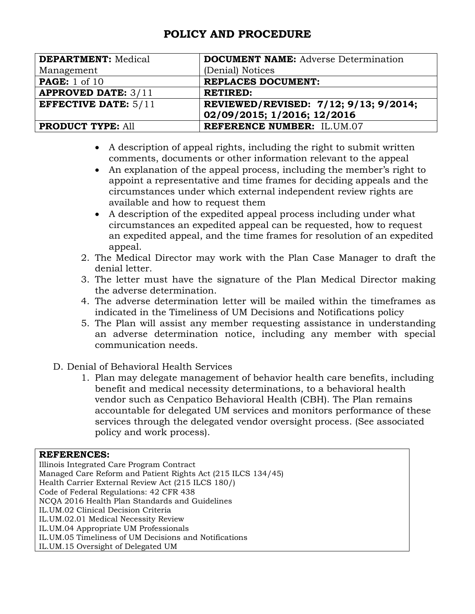| <b>DEPARTMENT: Medical</b>  | <b>DOCUMENT NAME:</b> Adverse Determination |
|-----------------------------|---------------------------------------------|
| Management                  | (Denial) Notices                            |
| <b>PAGE:</b> 1 of 10        | <b>REPLACES DOCUMENT:</b>                   |
| <b>APPROVED DATE: 3/11</b>  | <b>RETIRED:</b>                             |
| <b>EFFECTIVE DATE: 5/11</b> | REVIEWED/REVISED: 7/12; 9/13; 9/2014;       |
|                             | 02/09/2015; 1/2016; 12/2016                 |
| <b>PRODUCT TYPE: All</b>    | <b>REFERENCE NUMBER: IL.UM.07</b>           |

- A description of appeal rights, including the right to submit written comments, documents or other information relevant to the appeal
- An explanation of the appeal process, including the member's right to appoint a representative and time frames for deciding appeals and the circumstances under which external independent review rights are available and how to request them
- A description of the expedited appeal process including under what circumstances an expedited appeal can be requested, how to request an expedited appeal, and the time frames for resolution of an expedited appeal.
- 2. The Medical Director may work with the Plan Case Manager to draft the denial letter.
- 3. The letter must have the signature of the Plan Medical Director making the adverse determination.
- 4. The adverse determination letter will be mailed within the timeframes as indicated in the Timeliness of UM Decisions and Notifications policy
- 5. The Plan will assist any member requesting assistance in understanding an adverse determination notice, including any member with special communication needs.
- D. Denial of Behavioral Health Services
	- 1. Plan may delegate management of behavior health care benefits, including benefit and medical necessity determinations, to a behavioral health vendor such as Cenpatico Behavioral Health (CBH). The Plan remains accountable for delegated UM services and monitors performance of these services through the delegated vendor oversight process. (See associated policy and work process).

#### **REFERENCES:**

Illinois Integrated Care Program Contract Managed Care Reform and Patient Rights Act (215 ILCS 134/45) Health Carrier External Review Act (215 ILCS 180/) Code of Federal Regulations: 42 CFR 438 NCQA 2016 Health Plan Standards and Guidelines IL.UM.02 Clinical Decision Criteria IL.UM.02.01 Medical Necessity Review IL.UM.04 Appropriate UM Professionals IL.UM.05 Timeliness of UM Decisions and Notifications IL.UM.15 Oversight of Delegated UM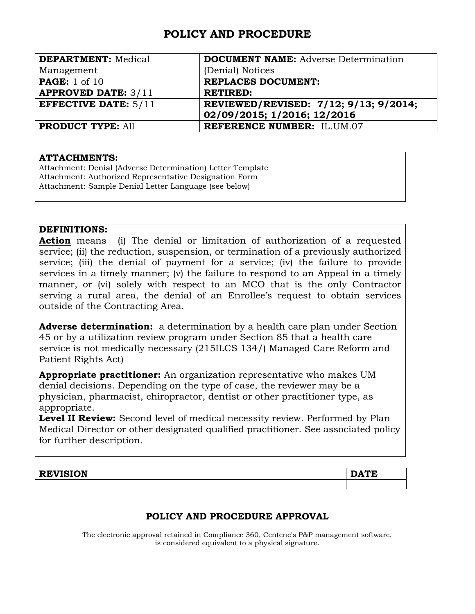| <b>DEPARTMENT: Medical</b>  | <b>DOCUMENT NAME:</b> Adverse Determination |
|-----------------------------|---------------------------------------------|
| Management                  | (Denial) Notices                            |
| <b>PAGE:</b> 1 of 10        | <b>REPLACES DOCUMENT:</b>                   |
| <b>APPROVED DATE: 3/11</b>  | <b>RETIRED:</b>                             |
| <b>EFFECTIVE DATE: 5/11</b> | REVIEWED/REVISED: 7/12; 9/13; 9/2014;       |
|                             | 02/09/2015; 1/2016; 12/2016                 |
| <b>PRODUCT TYPE: All</b>    | <b>REFERENCE NUMBER: IL.UM.07</b>           |

#### **ATTACHMENTS:**

Attachment: Denial (Adverse Determination) Letter Template Attachment: Authorized Representative Designation Form Attachment: Sample Denial Letter Language (see below)

#### **DEFINITIONS:**

**Action** means (i) The denial or limitation of authorization of a requested service; (ii) the reduction, suspension, or termination of a previously authorized service; (iii) the denial of payment for a service; (iv) the failure to provide services in a timely manner; (v) the failure to respond to an Appeal in a timely manner, or (vi) solely with respect to an MCO that is the only Contractor serving a rural area, the denial of an Enrollee's request to obtain services outside of the Contracting Area.

**Adverse determination:** a determination by a health care plan under Section 45 or by a utilization review program under Section 85 that a health care service is not medically necessary (215ILCS 134/) Managed Care Reform and Patient Rights Act)

**Appropriate practitioner:** An organization representative who makes UM denial decisions. Depending on the type of case, the reviewer may be a physician, pharmacist, chiropractor, dentist or other practitioner type, as appropriate.

Level II Review: Second level of medical necessity review. Performed by Plan Medical Director or other designated qualified practitioner. See associated policy for further description.

| <b>STIRTAIT</b><br>Ð.<br><b>KEAISIOM</b> | ш |
|------------------------------------------|---|
|                                          |   |

## **POLICY AND PROCEDURE APPROVAL**

The electronic approval retained in Compliance 360, Centene's P&P management software, is considered equivalent to a physical signature.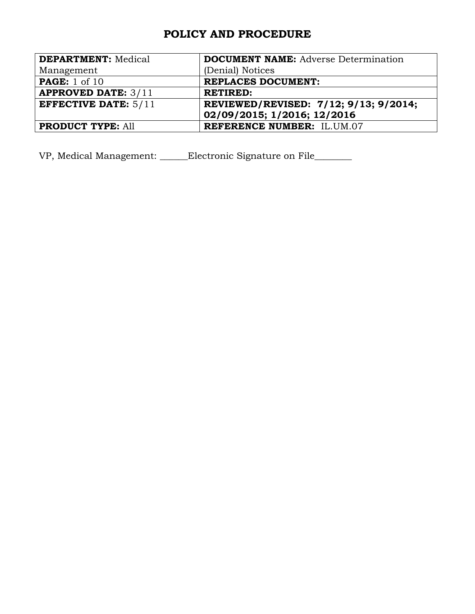| <b>DEPARTMENT: Medical</b>  | <b>DOCUMENT NAME:</b> Adverse Determination |
|-----------------------------|---------------------------------------------|
| Management                  | (Denial) Notices                            |
| <b>PAGE:</b> 1 of 10        | <b>REPLACES DOCUMENT:</b>                   |
| <b>APPROVED DATE: 3/11</b>  | <b>RETIRED:</b>                             |
| <b>EFFECTIVE DATE: 5/11</b> | REVIEWED/REVISED: 7/12; 9/13; 9/2014;       |
|                             | 02/09/2015; 1/2016; 12/2016                 |
| <b>PRODUCT TYPE: All</b>    | <b>REFERENCE NUMBER: IL.UM.07</b>           |

VP, Medical Management: \_\_\_\_\_\_Electronic Signature on File\_\_\_\_\_\_\_\_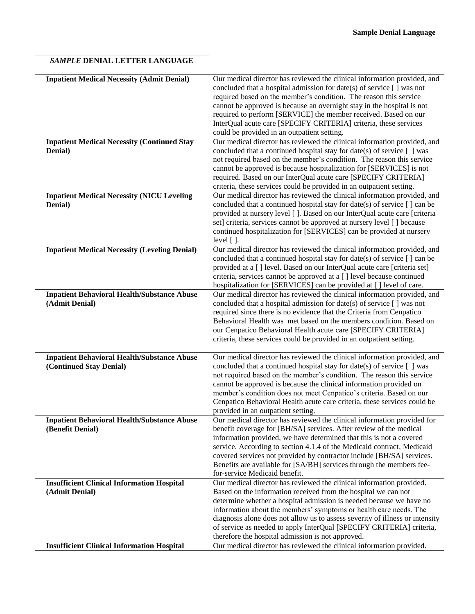| SAMPLE DENIAL LETTER LANGUAGE                                                 |                                                                                                                                                                                                                                                                                                                                                                                                                                                                                                 |
|-------------------------------------------------------------------------------|-------------------------------------------------------------------------------------------------------------------------------------------------------------------------------------------------------------------------------------------------------------------------------------------------------------------------------------------------------------------------------------------------------------------------------------------------------------------------------------------------|
| <b>Inpatient Medical Necessity (Admit Denial)</b>                             | Our medical director has reviewed the clinical information provided, and<br>concluded that a hospital admission for date(s) of service [ ] was not<br>required based on the member's condition. The reason this service<br>cannot be approved is because an overnight stay in the hospital is not<br>required to perform [SERVICE] the member received. Based on our<br>InterQual acute care [SPECIFY CRITERIA] criteria, these services<br>could be provided in an outpatient setting.         |
| <b>Inpatient Medical Necessity (Continued Stay</b><br>Denial)                 | Our medical director has reviewed the clinical information provided, and<br>concluded that a continued hospital stay for date(s) of service $[ ]$ was<br>not required based on the member's condition. The reason this service<br>cannot be approved is because hospitalization for [SERVICES] is not<br>required. Based on our InterQual acute care [SPECIFY CRITERIA]<br>criteria, these services could be provided in an outpatient setting.                                                 |
| <b>Inpatient Medical Necessity (NICU Leveling</b><br>Denial)                  | Our medical director has reviewed the clinical information provided, and<br>concluded that a continued hospital stay for date(s) of service [ ] can be<br>provided at nursery level []. Based on our InterQual acute care [criteria<br>set] criteria, services cannot be approved at nursery level [ ] because<br>continued hospitalization for [SERVICES] can be provided at nursery<br>level $[$ $]$ .                                                                                        |
| <b>Inpatient Medical Necessity (Leveling Denial)</b>                          | Our medical director has reviewed the clinical information provided, and<br>concluded that a continued hospital stay for date(s) of service $\lceil$ an be<br>provided at a [] level. Based on our InterQual acute care [criteria set]<br>criteria, services cannot be approved at a [] level because continued<br>hospitalization for [SERVICES] can be provided at [] level of care.                                                                                                          |
| <b>Inpatient Behavioral Health/Substance Abuse</b><br>(Admit Denial)          | Our medical director has reviewed the clinical information provided, and<br>concluded that a hospital admission for date(s) of service [] was not<br>required since there is no evidence that the Criteria from Cenpatico<br>Behavioral Health was met based on the members condition. Based on<br>our Cenpatico Behavioral Health acute care [SPECIFY CRITERIA]<br>criteria, these services could be provided in an outpatient setting.                                                        |
| <b>Inpatient Behavioral Health/Substance Abuse</b><br>(Continued Stay Denial) | Our medical director has reviewed the clinical information provided, and<br>concluded that a continued hospital stay for date(s) of service $[ ]$ was<br>not required based on the member's condition. The reason this service<br>cannot be approved is because the clinical information provided on<br>member's condition does not meet Cenpatico's criteria. Based on our<br>Cenpatico Behavioral Health acute care criteria, these services could be<br>provided in an outpatient setting.   |
| <b>Inpatient Behavioral Health/Substance Abuse</b><br>(Benefit Denial)        | Our medical director has reviewed the clinical information provided for<br>benefit coverage for [BH/SA] services. After review of the medical<br>information provided, we have determined that this is not a covered<br>service. According to section 4.1.4 of the Medicaid contract, Medicaid<br>covered services not provided by contractor include [BH/SA] services.<br>Benefits are available for [SA/BH] services through the members fee-<br>for-service Medicaid benefit.                |
| <b>Insufficient Clinical Information Hospital</b><br>(Admit Denial)           | Our medical director has reviewed the clinical information provided.<br>Based on the information received from the hospital we can not<br>determine whether a hospital admission is needed because we have no<br>information about the members' symptoms or health care needs. The<br>diagnosis alone does not allow us to assess severity of illness or intensity<br>of service as needed to apply InterQual [SPECIFY CRITERIA] criteria,<br>therefore the hospital admission is not approved. |
| <b>Insufficient Clinical Information Hospital</b>                             | Our medical director has reviewed the clinical information provided.                                                                                                                                                                                                                                                                                                                                                                                                                            |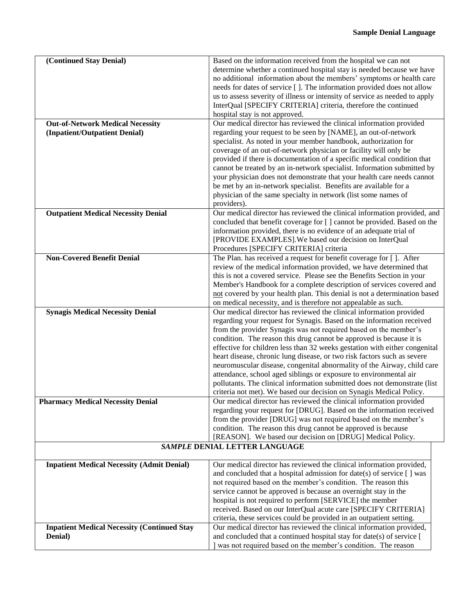| (Continued Stay Denial)                            | Based on the information received from the hospital we can not                                                                             |
|----------------------------------------------------|--------------------------------------------------------------------------------------------------------------------------------------------|
|                                                    | determine whether a continued hospital stay is needed because we have                                                                      |
|                                                    | no additional information about the members' symptoms or health care                                                                       |
|                                                    | needs for dates of service []. The information provided does not allow                                                                     |
|                                                    | us to assess severity of illness or intensity of service as needed to apply                                                                |
|                                                    | InterQual [SPECIFY CRITERIA] criteria, therefore the continued                                                                             |
|                                                    | hospital stay is not approved.                                                                                                             |
| <b>Out-of-Network Medical Necessity</b>            | Our medical director has reviewed the clinical information provided                                                                        |
| (Inpatient/Outpatient Denial)                      | regarding your request to be seen by [NAME], an out-of-network                                                                             |
|                                                    | specialist. As noted in your member handbook, authorization for                                                                            |
|                                                    | coverage of an out-of-network physician or facility will only be                                                                           |
|                                                    | provided if there is documentation of a specific medical condition that                                                                    |
|                                                    | cannot be treated by an in-network specialist. Information submitted by                                                                    |
|                                                    | your physician does not demonstrate that your health care needs cannot<br>be met by an in-network specialist. Benefits are available for a |
|                                                    | physician of the same specialty in network (list some names of                                                                             |
|                                                    | providers).                                                                                                                                |
| <b>Outpatient Medical Necessity Denial</b>         | Our medical director has reviewed the clinical information provided, and                                                                   |
|                                                    | concluded that benefit coverage for [] cannot be provided. Based on the                                                                    |
|                                                    | information provided, there is no evidence of an adequate trial of                                                                         |
|                                                    | [PROVIDE EXAMPLES]. We based our decision on InterQual                                                                                     |
|                                                    | Procedures [SPECIFY CRITERIA] criteria                                                                                                     |
| <b>Non-Covered Benefit Denial</b>                  | The Plan. has received a request for benefit coverage for []. After                                                                        |
|                                                    | review of the medical information provided, we have determined that                                                                        |
|                                                    | this is not a covered service. Please see the Benefits Section in your                                                                     |
|                                                    | Member's Handbook for a complete description of services covered and                                                                       |
|                                                    | not covered by your health plan. This denial is not a determination based                                                                  |
|                                                    | on medical necessity, and is therefore not appealable as such.                                                                             |
| <b>Synagis Medical Necessity Denial</b>            | Our medical director has reviewed the clinical information provided                                                                        |
|                                                    | regarding your request for Synagis. Based on the information received                                                                      |
|                                                    | from the provider Synagis was not required based on the member's<br>condition. The reason this drug cannot be approved is because it is    |
|                                                    | effective for children less than 32 weeks gestation with either congenital                                                                 |
|                                                    | heart disease, chronic lung disease, or two risk factors such as severe                                                                    |
|                                                    | neuromuscular disease, congenital abnormality of the Airway, child care                                                                    |
|                                                    | attendance, school aged siblings or exposure to environmental air                                                                          |
|                                                    | pollutants. The clinical information submitted does not demonstrate (list                                                                  |
|                                                    | criteria not met). We based our decision on Synagis Medical Policy.                                                                        |
| <b>Pharmacy Medical Necessity Denial</b>           | Our medical director has reviewed the clinical information provided                                                                        |
|                                                    | regarding your request for [DRUG]. Based on the information received                                                                       |
|                                                    | from the provider [DRUG] was not required based on the member's                                                                            |
|                                                    | condition. The reason this drug cannot be approved is because                                                                              |
|                                                    | [REASON]. We based our decision on [DRUG] Medical Policy.                                                                                  |
|                                                    | SAMPLE DENIAL LETTER LANGUAGE                                                                                                              |
| <b>Inpatient Medical Necessity (Admit Denial)</b>  | Our medical director has reviewed the clinical information provided,                                                                       |
|                                                    | and concluded that a hospital admission for date(s) of service [ ] was                                                                     |
|                                                    | not required based on the member's condition. The reason this                                                                              |
|                                                    | service cannot be approved is because an overnight stay in the                                                                             |
|                                                    | hospital is not required to perform [SERVICE] the member                                                                                   |
|                                                    | received. Based on our InterQual acute care [SPECIFY CRITERIA]                                                                             |
|                                                    | criteria, these services could be provided in an outpatient setting.                                                                       |
| <b>Inpatient Medical Necessity (Continued Stay</b> | Our medical director has reviewed the clinical information provided,                                                                       |
| Denial)                                            | and concluded that a continued hospital stay for date(s) of service [                                                                      |
|                                                    | was not required based on the member's condition. The reason                                                                               |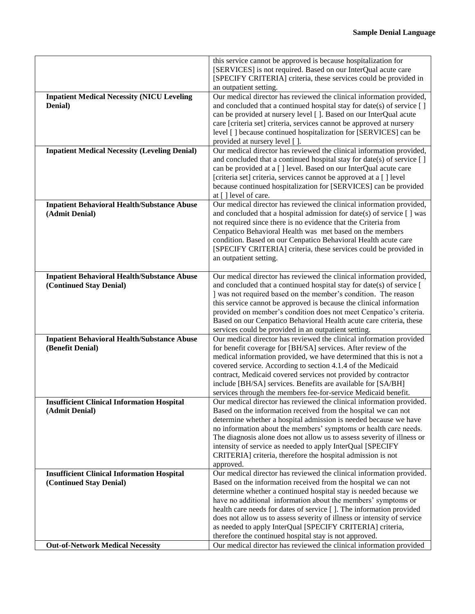|                                                                               | this service cannot be approved is because hospitalization for                                                                                |
|-------------------------------------------------------------------------------|-----------------------------------------------------------------------------------------------------------------------------------------------|
|                                                                               | [SERVICES] is not required. Based on our InterQual acute care                                                                                 |
|                                                                               | [SPECIFY CRITERIA] criteria, these services could be provided in                                                                              |
|                                                                               | an outpatient setting.                                                                                                                        |
| <b>Inpatient Medical Necessity (NICU Leveling</b>                             | Our medical director has reviewed the clinical information provided,                                                                          |
| Denial)                                                                       | and concluded that a continued hospital stay for date(s) of service $[ ]$                                                                     |
|                                                                               | can be provided at nursery level []. Based on our InterQual acute                                                                             |
|                                                                               | care [criteria set] criteria, services cannot be approved at nursery                                                                          |
|                                                                               | level [] because continued hospitalization for [SERVICES] can be                                                                              |
|                                                                               | provided at nursery level [].<br>Our medical director has reviewed the clinical information provided,                                         |
| <b>Inpatient Medical Necessity (Leveling Denial)</b>                          | and concluded that a continued hospital stay for date(s) of service [ ]                                                                       |
|                                                                               | can be provided at a [ ] level. Based on our InterQual acute care                                                                             |
|                                                                               | [criteria set] criteria, services cannot be approved at a [] level                                                                            |
|                                                                               | because continued hospitalization for [SERVICES] can be provided                                                                              |
|                                                                               | at $\lceil \cdot \rceil$ level of care.                                                                                                       |
| <b>Inpatient Behavioral Health/Substance Abuse</b>                            | Our medical director has reviewed the clinical information provided,                                                                          |
| (Admit Denial)                                                                | and concluded that a hospital admission for date(s) of service [ ] was                                                                        |
|                                                                               | not required since there is no evidence that the Criteria from                                                                                |
|                                                                               | Cenpatico Behavioral Health was met based on the members                                                                                      |
|                                                                               | condition. Based on our Cenpatico Behavioral Health acute care                                                                                |
|                                                                               | [SPECIFY CRITERIA] criteria, these services could be provided in                                                                              |
|                                                                               | an outpatient setting.                                                                                                                        |
|                                                                               |                                                                                                                                               |
| <b>Inpatient Behavioral Health/Substance Abuse</b><br>(Continued Stay Denial) | Our medical director has reviewed the clinical information provided,<br>and concluded that a continued hospital stay for date(s) of service [ |
|                                                                               | ] was not required based on the member's condition. The reason                                                                                |
|                                                                               | this service cannot be approved is because the clinical information                                                                           |
|                                                                               | provided on member's condition does not meet Cenpatico's criteria.                                                                            |
|                                                                               | Based on our Cenpatico Behavioral Health acute care criteria, these                                                                           |
|                                                                               | services could be provided in an outpatient setting.                                                                                          |
| <b>Inpatient Behavioral Health/Substance Abuse</b>                            | Our medical director has reviewed the clinical information provided                                                                           |
| (Benefit Denial)                                                              | for benefit coverage for [BH/SA] services. After review of the                                                                                |
|                                                                               | medical information provided, we have determined that this is not a                                                                           |
|                                                                               | covered service. According to section 4.1.4 of the Medicaid                                                                                   |
|                                                                               | contract, Medicaid covered services not provided by contractor                                                                                |
|                                                                               | include [BH/SA] services. Benefits are available for [SA/BH]                                                                                  |
|                                                                               | services through the members fee-for-service Medicaid benefit.                                                                                |
| <b>Insufficient Clinical Information Hospital</b><br>(Admit Denial)           | Our medical director has reviewed the clinical information provided.<br>Based on the information received from the hospital we can not        |
|                                                                               | determine whether a hospital admission is needed because we have                                                                              |
|                                                                               | no information about the members' symptoms or health care needs.                                                                              |
|                                                                               | The diagnosis alone does not allow us to assess severity of illness or                                                                        |
|                                                                               | intensity of service as needed to apply InterQual [SPECIFY                                                                                    |
|                                                                               | CRITERIA] criteria, therefore the hospital admission is not                                                                                   |
|                                                                               | approved.                                                                                                                                     |
| <b>Insufficient Clinical Information Hospital</b>                             | Our medical director has reviewed the clinical information provided.                                                                          |
| (Continued Stay Denial)                                                       | Based on the information received from the hospital we can not                                                                                |
|                                                                               | determine whether a continued hospital stay is needed because we                                                                              |
|                                                                               | have no additional information about the members' symptoms or                                                                                 |
|                                                                               | health care needs for dates of service []. The information provided                                                                           |
|                                                                               | does not allow us to assess severity of illness or intensity of service                                                                       |
|                                                                               | as needed to apply InterQual [SPECIFY CRITERIA] criteria,                                                                                     |
|                                                                               | therefore the continued hospital stay is not approved.                                                                                        |
| <b>Out-of-Network Medical Necessity</b>                                       | Our medical director has reviewed the clinical information provided                                                                           |